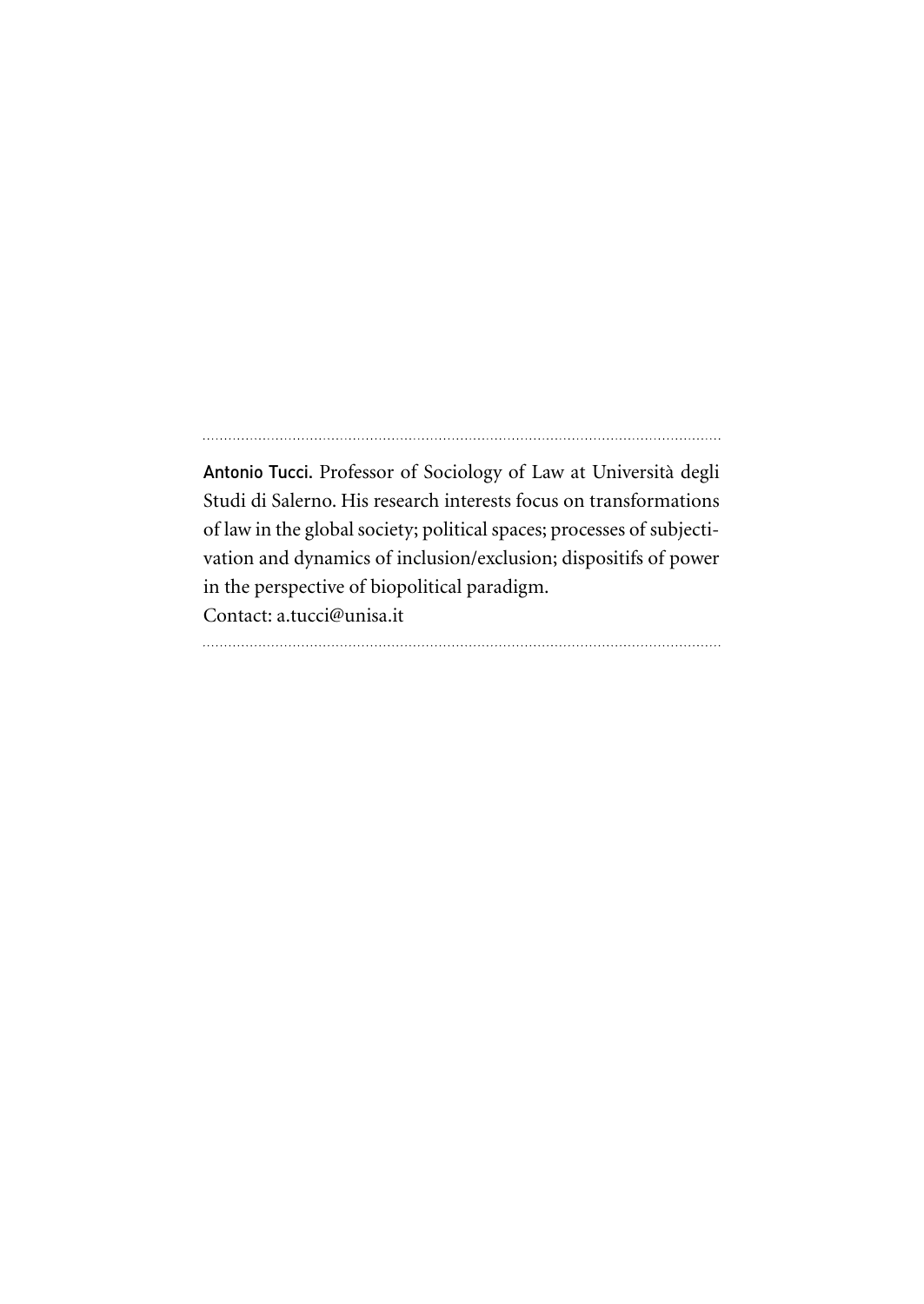Antonio Tucci. Professor of Sociology of Law at Università degli Studi di Salerno. His research interests focus on transformations of law in the global society; political spaces; processes of subjectivation and dynamics of inclusion/exclusion; dispositifs of power in the perspective of biopolitical paradigm. Contact: a.tucci@unisa.it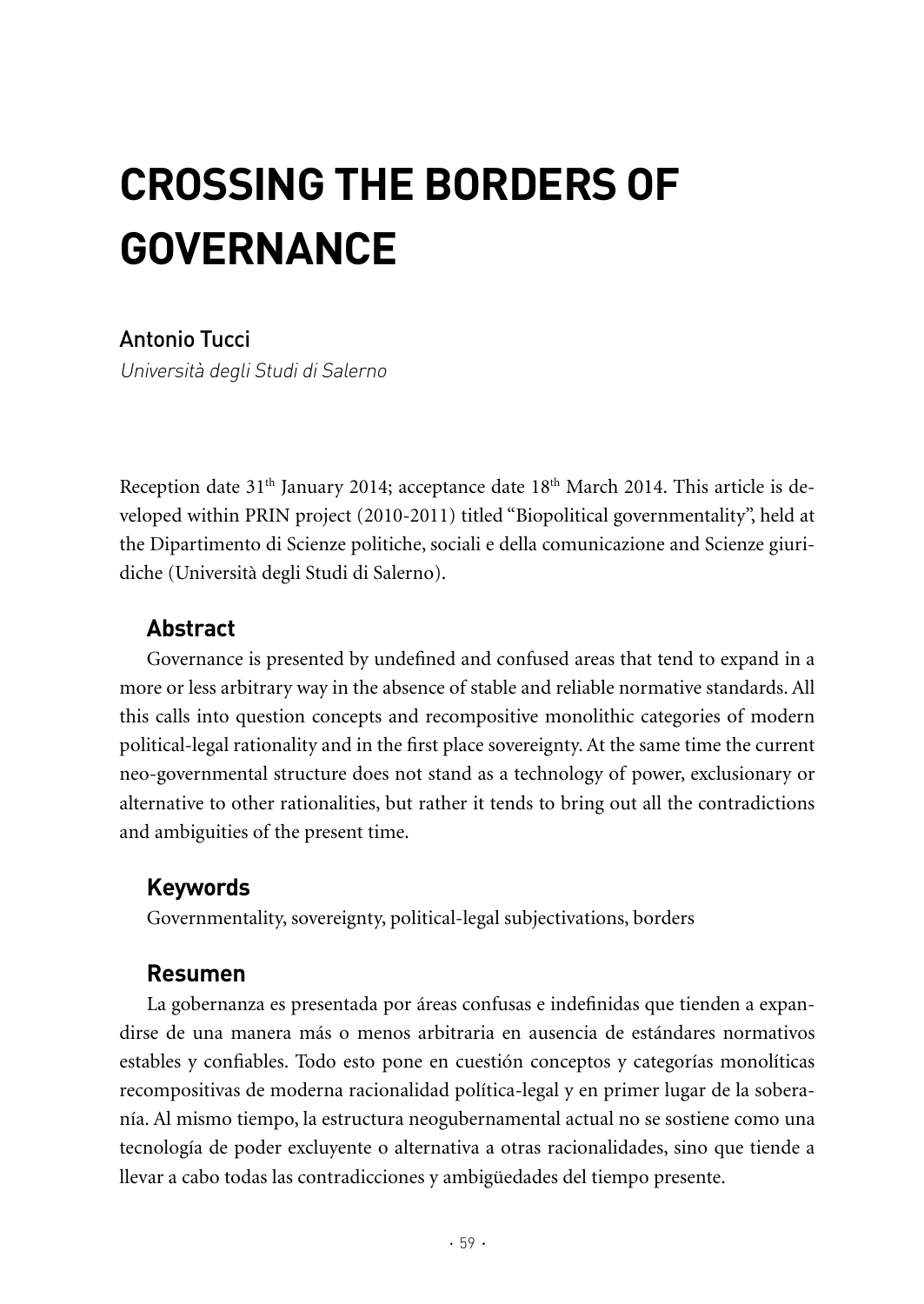# **CROSSING ThE BORDERS OF GOVERNANCE**

## Antonio Tucci

Università degli Studi di Salerno

Reception date  $31<sup>th</sup>$  January 2014; acceptance date  $18<sup>th</sup>$  March 2014. This article is developed within PRIN project (2010-2011) titled "Biopolitical governmentality", held at the Dipartimento di Scienze politiche, sociali e della comunicazione and Scienze giuridiche (Università degli Studi di Salerno).

## **Abstract**

Governance is presented by undefined and confused areas that tend to expand in a more or less arbitrary way in the absence of stable and reliable normative standards. All this calls into question concepts and recompositive monolithic categories of modern political-legal rationality and in the first place sovereignty. At the same time the current neo-governmental structure does not stand as a technology of power, exclusionary or alternative to other rationalities, but rather it tends to bring out all the contradictions and ambiguities of the present time.

## **Keywords**

Governmentality, sovereignty, political-legal subjectivations, borders

## **Resumen**

La gobernanza es presentada por áreas confusas e indefinidas que tienden a expandirse de una manera más o menos arbitraria en ausencia de estándares normativos estables y confiables. Todo esto pone en cuestión conceptos y categorías monolíticas recompositivas de moderna racionalidad política-legal y en primer lugar de la soberanía. Al mismo tiempo, la estructura neogubernamental actual no se sostiene como una tecnología de poder excluyente o alternativa a otras racionalidades, sino que tiende a llevar a cabo todas las contradicciones y ambigüedades del tiempo presente.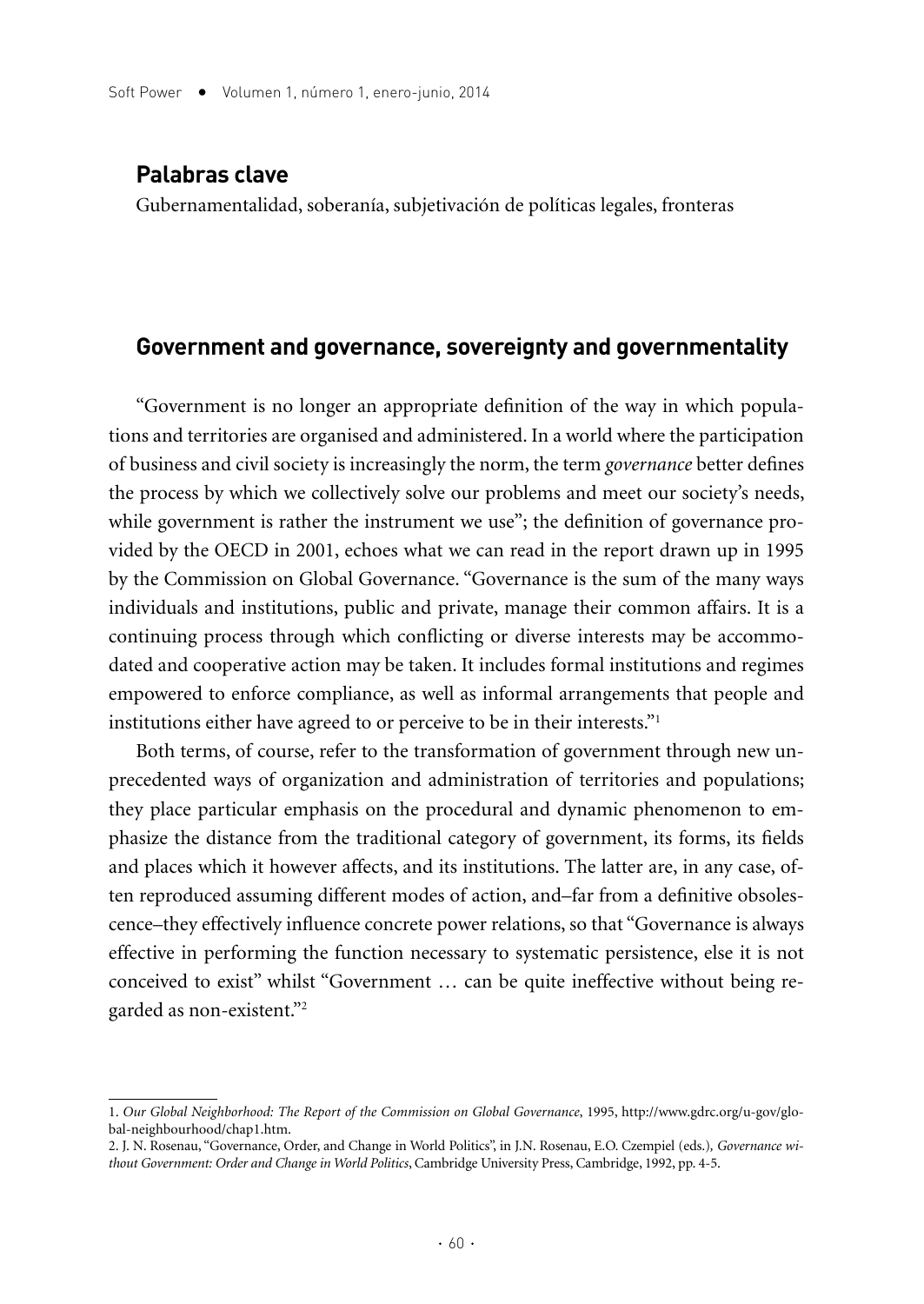#### **Palabras clave**

Gubernamentalidad, soberanía, subjetivación de políticas legales, fronteras

#### **Government and governance, sovereignty and governmentality**

"Government is no longer an appropriate definition of the way in which populations and territories are organised and administered. In a world where the participation of business and civil society is increasingly the norm, the term *governance* better defines the process by which we collectively solve our problems and meet our society's needs, while government is rather the instrument we use"; the definition of governance provided by the OECD in 2001, echoes what we can read in the report drawn up in 1995 by the Commission on Global Governance. "Governance is the sum of the many ways individuals and institutions, public and private, manage their common affairs. It is a continuing process through which conflicting or diverse interests may be accommodated and cooperative action may be taken. It includes formal institutions and regimes empowered to enforce compliance, as well as informal arrangements that people and institutions either have agreed to or perceive to be in their interests."1

Both terms, of course, refer to the transformation of government through new unprecedented ways of organization and administration of territories and populations; they place particular emphasis on the procedural and dynamic phenomenon to emphasize the distance from the traditional category of government, its forms, its fields and places which it however affects, and its institutions. The latter are, in any case, often reproduced assuming different modes of action, and–far from a definitive obsolescence–they effectively influence concrete power relations, so that "Governance is always effective in performing the function necessary to systematic persistence, else it is not conceived to exist" whilst "Government … can be quite ineffective without being regarded as non-existent."2

<sup>1.</sup> *Our Global Neighborhood: The Report of the Commission on Global Governance*, 1995, http://www.gdrc.org/u-gov/global-neighbourhood/chap1.htm.

<sup>2.</sup> J. N. Rosenau, "Governance, Order, and Change in World Politics", in J.N. Rosenau, E.O. Czempiel (eds.)*, Governance without Government: Order and Change in World Politics*, Cambridge University Press, Cambridge, 1992, pp. 4-5.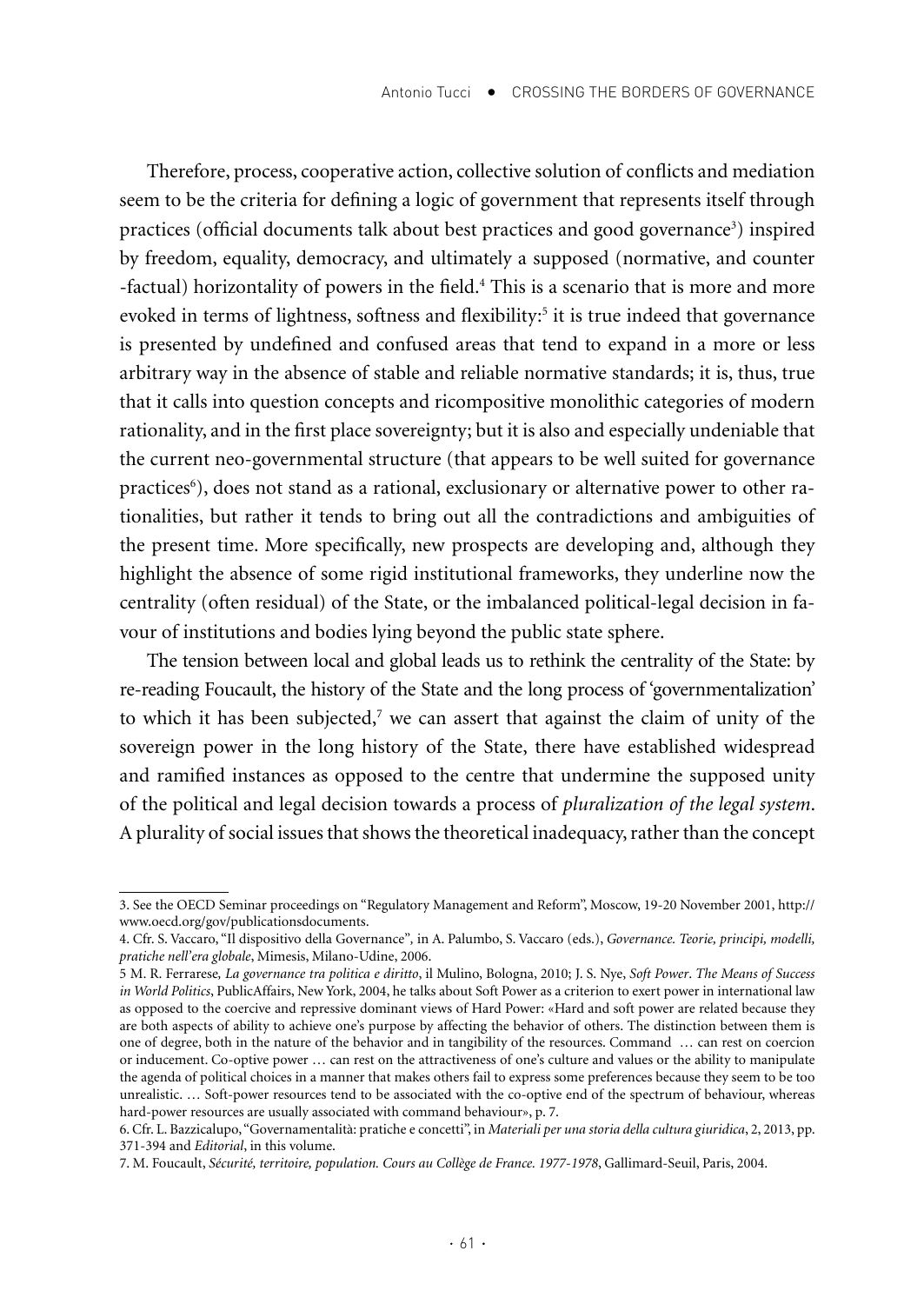Therefore, process, cooperative action, collective solution of conflicts and mediation seem to be the criteria for defining a logic of government that represents itself through practices (official documents talk about best practices and good governance<sup>3</sup>) inspired by freedom, equality, democracy, and ultimately a supposed (normative, and counter -factual) horizontality of powers in the field.<sup>4</sup> This is a scenario that is more and more evoked in terms of lightness, softness and flexibility:<sup>5</sup> it is true indeed that governance is presented by undefined and confused areas that tend to expand in a more or less arbitrary way in the absence of stable and reliable normative standards; it is, thus, true that it calls into question concepts and ricompositive monolithic categories of modern rationality, and in the first place sovereignty; but it is also and especially undeniable that the current neo-governmental structure (that appears to be well suited for governance practices6), does not stand as a rational, exclusionary or alternative power to other rationalities, but rather it tends to bring out all the contradictions and ambiguities of the present time. More specifically, new prospects are developing and, although they highlight the absence of some rigid institutional frameworks, they underline now the centrality (often residual) of the State, or the imbalanced political-legal decision in favour of institutions and bodies lying beyond the public state sphere.

The tension between local and global leads us to rethink the centrality of the State: by re-reading Foucault, the history of the State and the long process of 'governmentalization' to which it has been subjected, $\iota$  we can assert that against the claim of unity of the sovereign power in the long history of the State, there have established widespread and ramified instances as opposed to the centre that undermine the supposed unity of the political and legal decision towards a process of *pluralization of the legal system*. A plurality of social issues that shows the theoretical inadequacy, rather than the concept

<sup>3.</sup> See the OECD Seminar proceedings on "Regulatory Management and Reform", Moscow, 19-20 November 2001, http:// www.oecd.org/gov/publicationsdocuments.

<sup>4.</sup> Cfr. S. Vaccaro, "Il dispositivo della Governance"*,* in A. Palumbo, S. Vaccaro (eds.), *Governance. Teorie, principi, modelli, pratiche nell'era globale*, Mimesis, Milano-Udine, 2006.

<sup>5</sup> M. R. Ferrarese*, La governance tra politica e diritto*, il Mulino, Bologna, 2010; J. S. Nye, *Soft Power*. *The Means of Success in World Politics*, PublicAffairs, New York, 2004, he talks about Soft Power as a criterion to exert power in international law as opposed to the coercive and repressive dominant views of Hard Power: «Hard and soft power are related because they are both aspects of ability to achieve one's purpose by affecting the behavior of others. The distinction between them is one of degree, both in the nature of the behavior and in tangibility of the resources. Command … can rest on coercion or inducement. Co-optive power … can rest on the attractiveness of one's culture and values or the ability to manipulate the agenda of political choices in a manner that makes others fail to express some preferences because they seem to be too unrealistic. … Soft-power resources tend to be associated with the co-optive end of the spectrum of behaviour, whereas hard-power resources are usually associated with command behaviour», p. 7.

<sup>6.</sup> Cfr. L. Bazzicalupo, "Governamentalità: pratiche e concetti", in *Materiali per una storia della cultura giuridica*, 2, 2013, pp. 371-394 and *Editorial*, in this volume.

<sup>7.</sup> M. Foucault, *Sécurité, territoire, population. Cours au Collège de France. 1977-1978*, Gallimard-Seuil, Paris, 2004.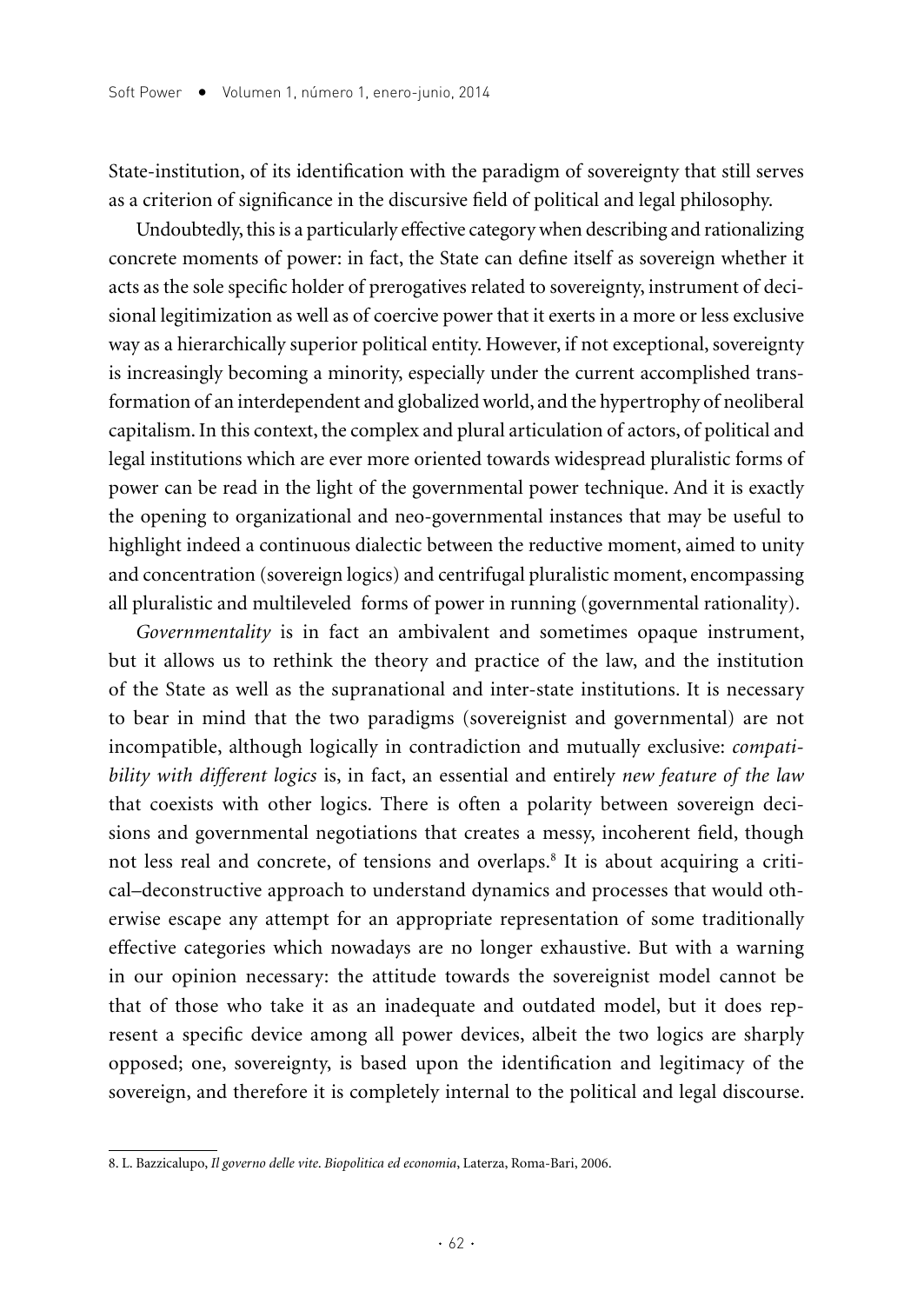State-institution, of its identification with the paradigm of sovereignty that still serves as a criterion of significance in the discursive field of political and legal philosophy.

Undoubtedly, this is a particularly effective category when describing and rationalizing concrete moments of power: in fact, the State can define itself as sovereign whether it acts as the sole specific holder of prerogatives related to sovereignty, instrument of decisional legitimization as well as of coercive power that it exerts in a more or less exclusive way as a hierarchically superior political entity. However, if not exceptional, sovereignty is increasingly becoming a minority, especially under the current accomplished transformation of an interdependent and globalized world, and the hypertrophy of neoliberal capitalism. In this context, the complex and plural articulation of actors, of political and legal institutions which are ever more oriented towards widespread pluralistic forms of power can be read in the light of the governmental power technique. And it is exactly the opening to organizational and neo-governmental instances that may be useful to highlight indeed a continuous dialectic between the reductive moment, aimed to unity and concentration (sovereign logics) and centrifugal pluralistic moment, encompassing all pluralistic and multileveled forms of power in running (governmental rationality).

*Governmentality* is in fact an ambivalent and sometimes opaque instrument, but it allows us to rethink the theory and practice of the law, and the institution of the State as well as the supranational and inter-state institutions. It is necessary to bear in mind that the two paradigms (sovereignist and governmental) are not incompatible, although logically in contradiction and mutually exclusive: *compatibility with different logics* is, in fact, an essential and entirely *new feature of the law* that coexists with other logics. There is often a polarity between sovereign decisions and governmental negotiations that creates a messy, incoherent field, though not less real and concrete, of tensions and overlaps.8 It is about acquiring a critical–deconstructive approach to understand dynamics and processes that would otherwise escape any attempt for an appropriate representation of some traditionally effective categories which nowadays are no longer exhaustive. But with a warning in our opinion necessary: the attitude towards the sovereignist model cannot be that of those who take it as an inadequate and outdated model, but it does represent a specific device among all power devices, albeit the two logics are sharply opposed; one, sovereignty, is based upon the identification and legitimacy of the sovereign, and therefore it is completely internal to the political and legal discourse.

<sup>8.</sup> L. Bazzicalupo, *Il governo delle vite*. *Biopolitica ed economia*, Laterza, Roma-Bari, 2006.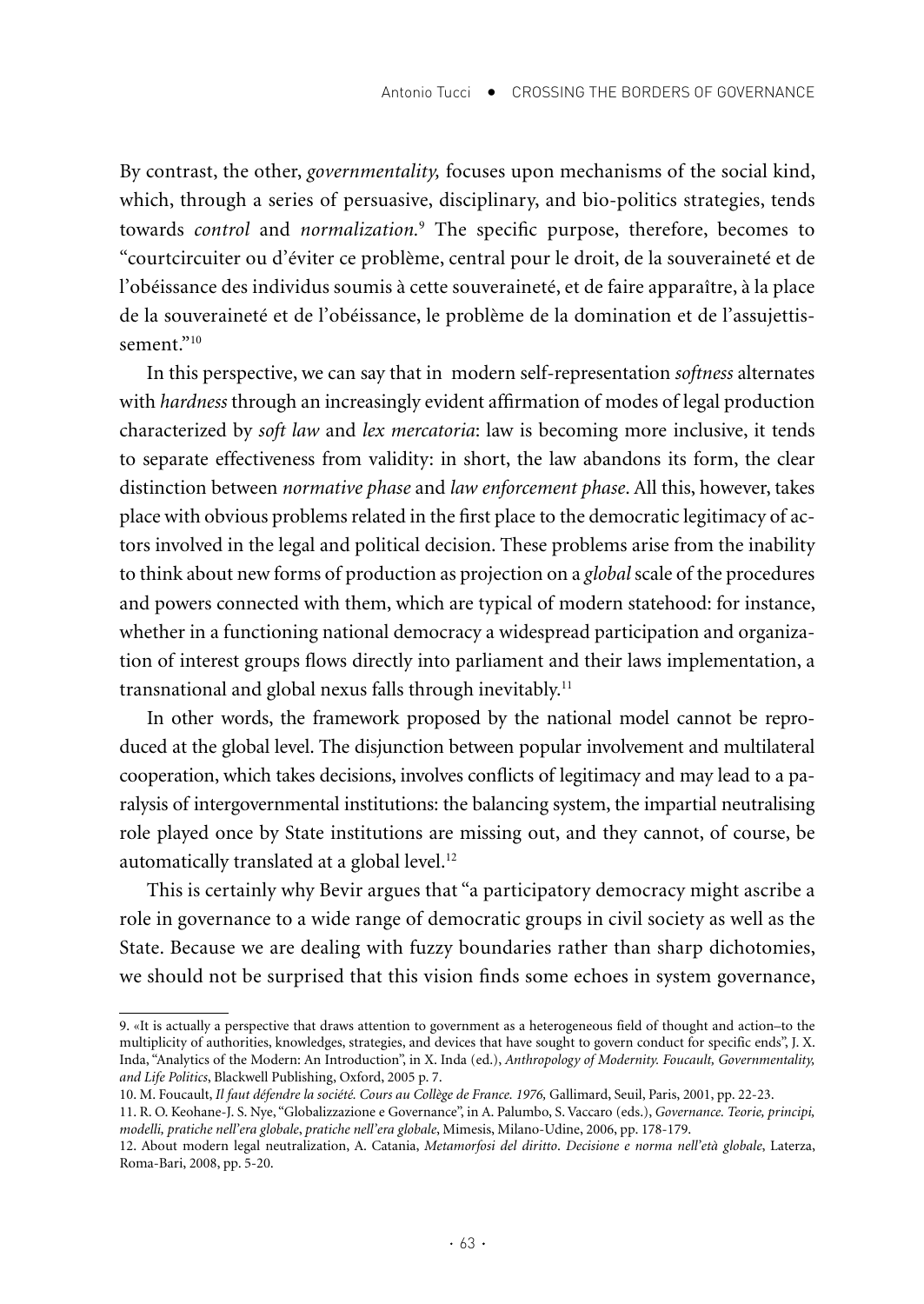By contrast, the other, *governmentality,* focuses upon mechanisms of the social kind, which, through a series of persuasive, disciplinary, and bio-politics strategies, tends towards *control* and *normalization.*<sup>9</sup> The specific purpose, therefore, becomes to "courtcircuiter ou d'éviter ce problème, central pour le droit, de la souveraineté et de l'obéissance des individus soumis à cette souveraineté, et de faire apparaître, à la place de la souveraineté et de l'obéissance, le problème de la domination et de l'assujettissement<sup>"10</sup>

In this perspective, we can say that in modern self-representation *softness* alternates with *hardness* through an increasingly evident affirmation of modes of legal production characterized by *soft law* and *lex mercatoria*: law is becoming more inclusive, it tends to separate effectiveness from validity: in short, the law abandons its form, the clear distinction between *normative phase* and *law enforcement phase*. All this, however, takes place with obvious problems related in the first place to the democratic legitimacy of actors involved in the legal and political decision. These problems arise from the inability to think about new forms of production as projection on a *global* scale of the procedures and powers connected with them, which are typical of modern statehood: for instance, whether in a functioning national democracy a widespread participation and organization of interest groups flows directly into parliament and their laws implementation, a transnational and global nexus falls through inevitably.<sup>11</sup>

In other words, the framework proposed by the national model cannot be reproduced at the global level. The disjunction between popular involvement and multilateral cooperation, which takes decisions, involves conflicts of legitimacy and may lead to a paralysis of intergovernmental institutions: the balancing system, the impartial neutralising role played once by State institutions are missing out, and they cannot, of course, be automatically translated at a global level.<sup>12</sup>

This is certainly why Bevir argues that "a participatory democracy might ascribe a role in governance to a wide range of democratic groups in civil society as well as the State. Because we are dealing with fuzzy boundaries rather than sharp dichotomies, we should not be surprised that this vision finds some echoes in system governance,

<sup>9. «</sup>It is actually a perspective that draws attention to government as a heterogeneous field of thought and action–to the multiplicity of authorities, knowledges, strategies, and devices that have sought to govern conduct for specific ends", J. X. Inda, "Analytics of the Modern: An Introduction", in X. Inda (ed.), *Anthropology of Modernity. Foucault, Governmentality, and Life Politics*, Blackwell Publishing, Oxford, 2005 p. 7.

<sup>10.</sup> M. Foucault, *Il faut défendre la société. Cours au Collège de France. 1976,* Gallimard, Seuil, Paris, 2001, pp. 22-23.

<sup>11.</sup> R. O. Keohane-J. S. Nye, "Globalizzazione e Governance", in A. Palumbo, S. Vaccaro (eds.), *Governance. Teorie, principi, modelli, pratiche nell'era globale*, *pratiche nell'era globale*, Mimesis, Milano-Udine, 2006, pp. 178-179.

<sup>12.</sup> About modern legal neutralization, A. Catania, *Metamorfosi del diritto*. *Decisione e norma nell'età globale*, Laterza, Roma-Bari, 2008, pp. 5-20.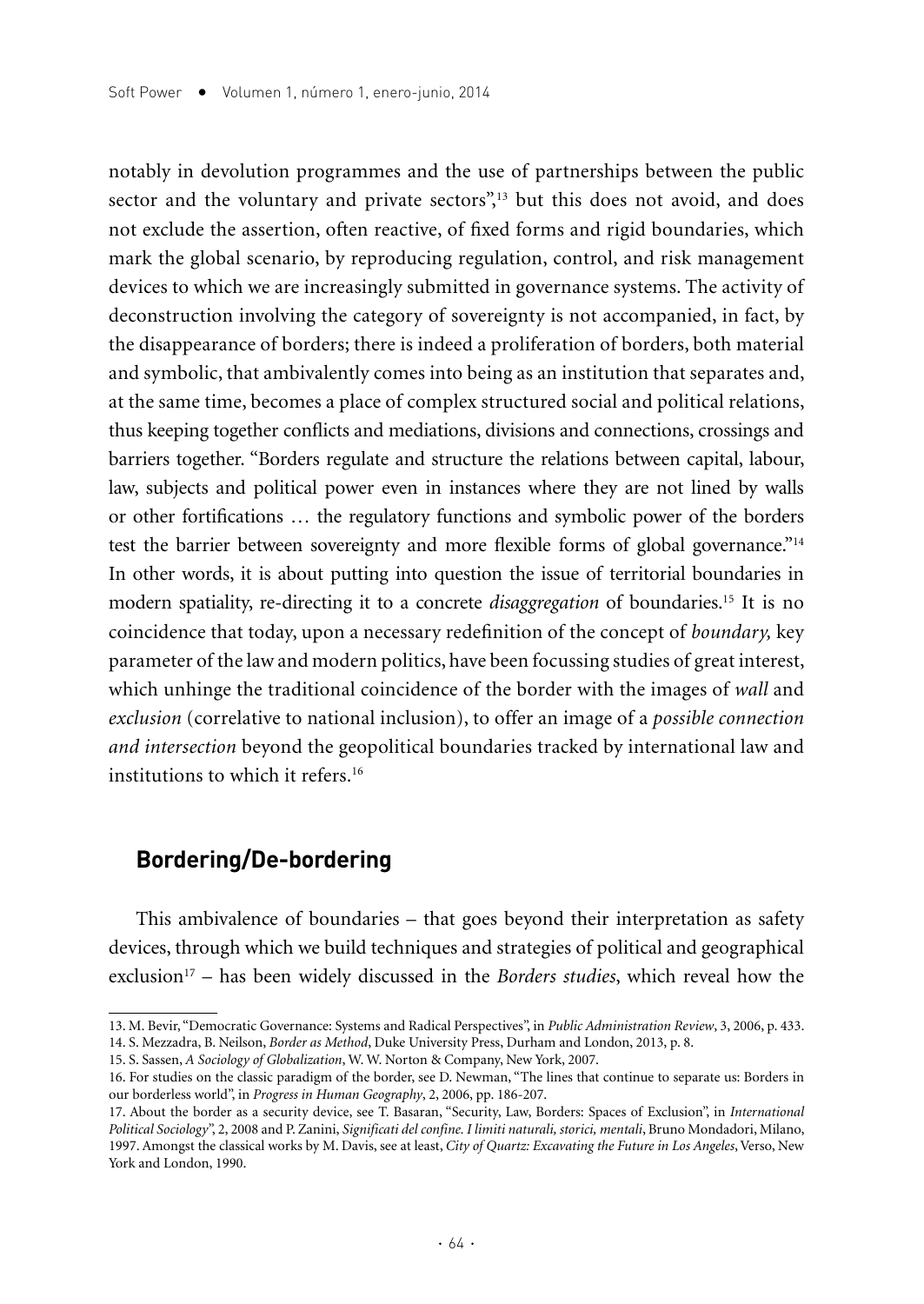notably in devolution programmes and the use of partnerships between the public sector and the voluntary and private sectors",<sup>13</sup> but this does not avoid, and does not exclude the assertion, often reactive, of fixed forms and rigid boundaries, which mark the global scenario, by reproducing regulation, control, and risk management devices to which we are increasingly submitted in governance systems. The activity of deconstruction involving the category of sovereignty is not accompanied, in fact, by the disappearance of borders; there is indeed a proliferation of borders, both material and symbolic, that ambivalently comes into being as an institution that separates and, at the same time, becomes a place of complex structured social and political relations, thus keeping together conflicts and mediations, divisions and connections, crossings and barriers together. "Borders regulate and structure the relations between capital, labour, law, subjects and political power even in instances where they are not lined by walls or other fortifications … the regulatory functions and symbolic power of the borders test the barrier between sovereignty and more flexible forms of global governance."14 In other words, it is about putting into question the issue of territorial boundaries in modern spatiality, re-directing it to a concrete *disaggregation* of boundaries.15 It is no coincidence that today, upon a necessary redefinition of the concept of *boundary,* key parameter of the law and modern politics, have been focussing studies of great interest, which unhinge the traditional coincidence of the border with the images of *wall* and *exclusion* (correlative to national inclusion), to offer an image of a *possible connection and intersection* beyond the geopolitical boundaries tracked by international law and institutions to which it refers.16

#### **Bordering/De-bordering**

This ambivalence of boundaries – that goes beyond their interpretation as safety devices, through which we build techniques and strategies of political and geographical exclusion<sup>17</sup> – has been widely discussed in the *Borders studies*, which reveal how the

<sup>13.</sup> M. Bevir, "Democratic Governance: Systems and Radical Perspectives", in *Public Administration Review*, 3, 2006, p. 433. 14. S. Mezzadra, B. Neilson, *Border as Method*, Duke University Press, Durham and London, 2013, p. 8.

<sup>15.</sup> S. Sassen, *A Sociology of Globalization*, W. W. Norton & Company, New York, 2007.

<sup>16.</sup> For studies on the classic paradigm of the border, see D. Newman, "The lines that continue to separate us: Borders in our borderless world", in *Progress in Human Geography*, 2, 2006, pp. 186-207.

<sup>17.</sup> About the border as a security device, see T. Basaran, "Security, Law, Borders: Spaces of Exclusion", in *International Political Sociology*", 2, 2008 and P. Zanini, *Significati del confine. I limiti naturali, storici, mentali*, Bruno Mondadori, Milano, 1997. Amongst the classical works by M. Davis, see at least, *City of Quartz: Excavating the Future in Los Angeles*, Verso, New York and London, 1990.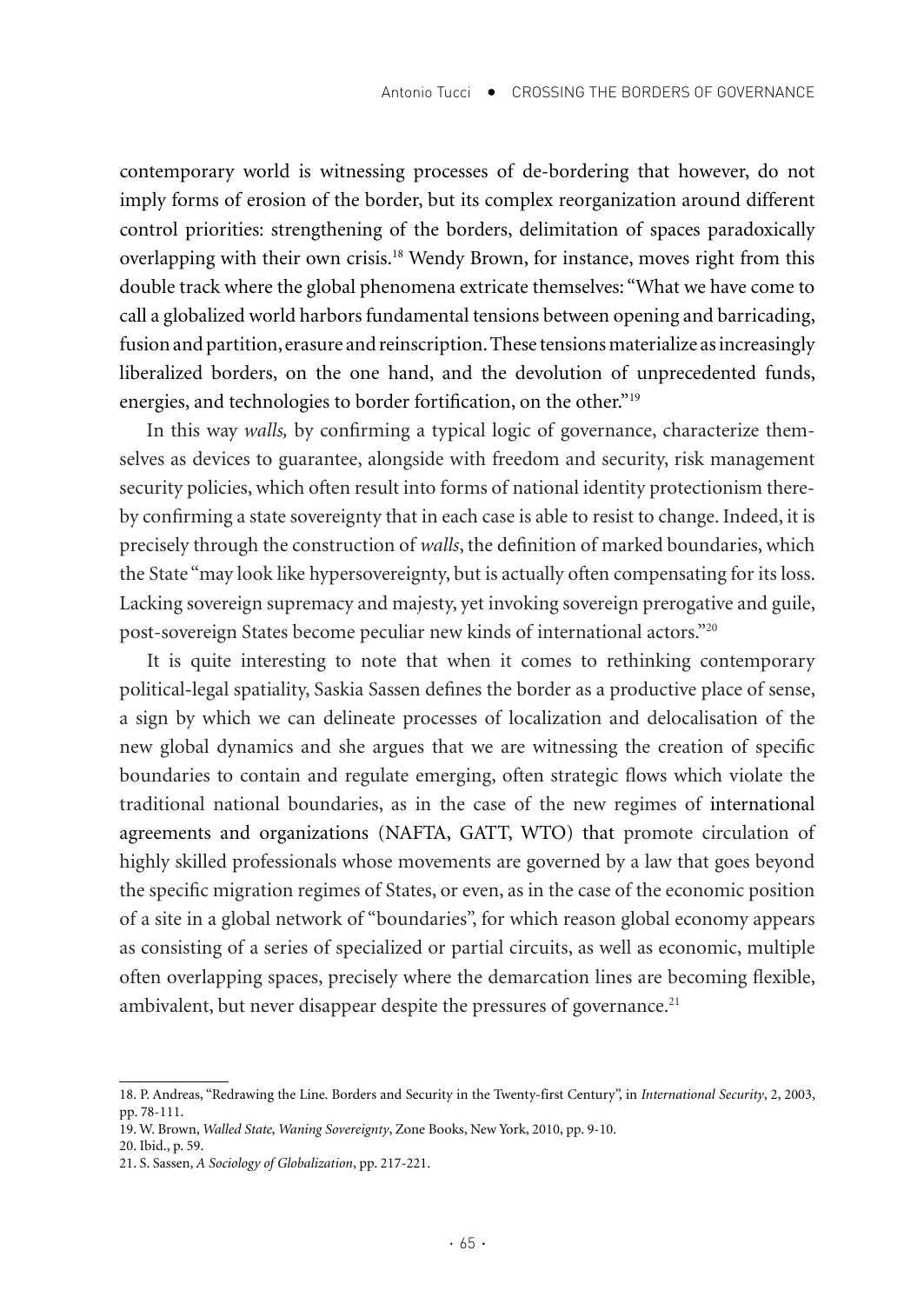contemporary world is witnessing processes of de-bordering that however, do not imply forms of erosion of the border, but its complex reorganization around different control priorities: strengthening of the borders, delimitation of spaces paradoxically overlapping with their own crisis.18 Wendy Brown, for instance, moves right from this double track where the global phenomena extricate themselves: "What we have come to call a globalized world harbors fundamental tensions between opening and barricading, fusion and partition, erasure and reinscription. These tensions materialize as increasingly liberalized borders, on the one hand, and the devolution of unprecedented funds, energies, and technologies to border fortification, on the other."19

In this way *walls,* by confirming a typical logic of governance, characterize themselves as devices to guarantee, alongside with freedom and security, risk management security policies, which often result into forms of national identity protectionism thereby confirming a state sovereignty that in each case is able to resist to change. Indeed, it is precisely through the construction of *walls*, the definition of marked boundaries, which the State "may look like hypersovereignty, but is actually often compensating for its loss. Lacking sovereign supremacy and majesty, yet invoking sovereign prerogative and guile, post-sovereign States become peculiar new kinds of international actors."20

It is quite interesting to note that when it comes to rethinking contemporary political-legal spatiality, Saskia Sassen defines the border as a productive place of sense, a sign by which we can delineate processes of localization and delocalisation of the new global dynamics and she argues that we are witnessing the creation of specific boundaries to contain and regulate emerging, often strategic flows which violate the traditional national boundaries, as in the case of the new regimes of international agreements and organizations (NAFTA, GATT, WTO) that promote circulation of highly skilled professionals whose movements are governed by a law that goes beyond the specific migration regimes of States, or even, as in the case of the economic position of a site in a global network of "boundaries", for which reason global economy appears as consisting of a series of specialized or partial circuits, as well as economic, multiple often overlapping spaces, precisely where the demarcation lines are becoming flexible, ambivalent, but never disappear despite the pressures of governance.<sup>21</sup>

<sup>18.</sup> P. Andreas, "Redrawing the Line. Borders and Security in the Twenty-first Century", in *International Security*, 2, 2003, pp. 78-111.

<sup>19.</sup> W. Brown, *Walled State, Waning Sovereignty*, Zone Books, New York, 2010, pp. 9-10.

<sup>20.</sup> Ibid., p. 59.

<sup>21.</sup> S. Sassen, *A Sociology of Globalization*, pp. 217-221.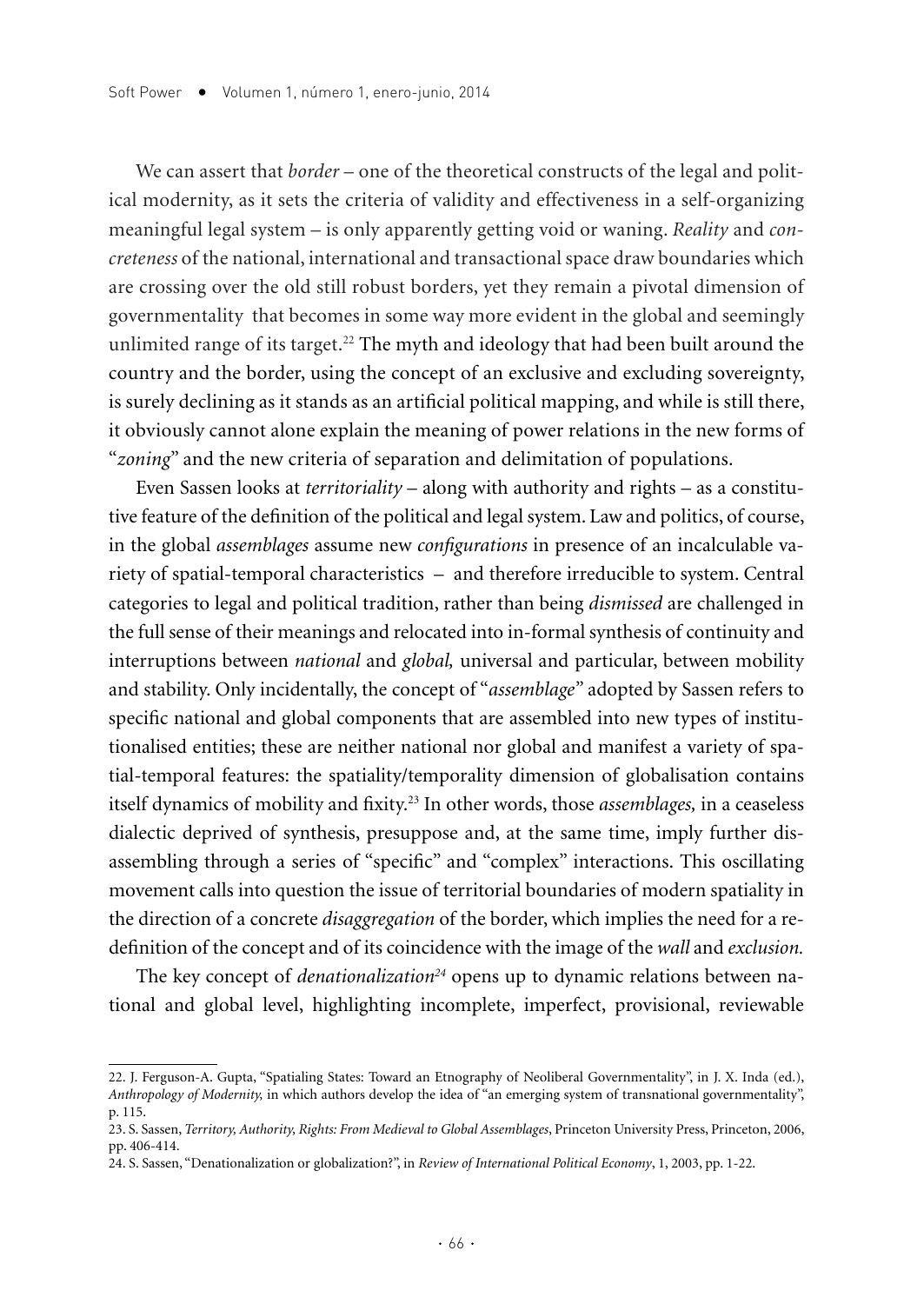We can assert that *border* – one of the theoretical constructs of the legal and political modernity, as it sets the criteria of validity and effectiveness in a self-organizing meaningful legal system – is only apparently getting void or waning. *Reality* and *concreteness* of the national, international and transactional space draw boundaries which are crossing over the old still robust borders, yet they remain a pivotal dimension of governmentality that becomes in some way more evident in the global and seemingly unlimited range of its target.<sup>22</sup> The myth and ideology that had been built around the country and the border, using the concept of an exclusive and excluding sovereignty, is surely declining as it stands as an artificial political mapping, and while is still there, it obviously cannot alone explain the meaning of power relations in the new forms of "*zoning*" and the new criteria of separation and delimitation of populations.

Even Sassen looks at *territoriality* – along with authority and rights – as a constitutive feature of the definition of the political and legal system. Law and politics, of course, in the global *assemblages* assume new *configurations* in presence of an incalculable variety of spatial-temporal characteristics – and therefore irreducible to system. Central categories to legal and political tradition, rather than being *dismissed* are challenged in the full sense of their meanings and relocated into in-formal synthesis of continuity and interruptions between *national* and *global,* universal and particular, between mobility and stability. Only incidentally, the concept of "*assemblage"* adopted by Sassen refers to specific national and global components that are assembled into new types of institutionalised entities; these are neither national nor global and manifest a variety of spatial-temporal features: the spatiality/temporality dimension of globalisation contains itself dynamics of mobility and fixity.23 In other words, those *assemblages,* in a ceaseless dialectic deprived of synthesis, presuppose and, at the same time, imply further disassembling through a series of "specific" and "complex" interactions. This oscillating movement calls into question the issue of territorial boundaries of modern spatiality in the direction of a concrete *disaggregation* of the border, which implies the need for a redefinition of the concept and of its coincidence with the image of the *wall* and *exclusion.*

The key concept of *denationalization<sup>24</sup>* opens up to dynamic relations between national and global level, highlighting incomplete, imperfect, provisional, reviewable

<sup>22.</sup> J. Ferguson-A. Gupta, "Spatialing States: Toward an Etnography of Neoliberal Governmentality", in J. X. Inda (ed.), *Anthropology of Modernity,* in which authors develop the idea of "an emerging system of transnational governmentality", p. 115.

<sup>23.</sup> S. Sassen, *Territory, Authority, Rights: From Medieval to Global Assemblages*, Princeton University Press, Princeton, 2006, pp. 406-414.

<sup>24.</sup> S. Sassen, "Denationalization or globalization?", in *Review of International Political Economy*, 1, 2003, pp. 1-22.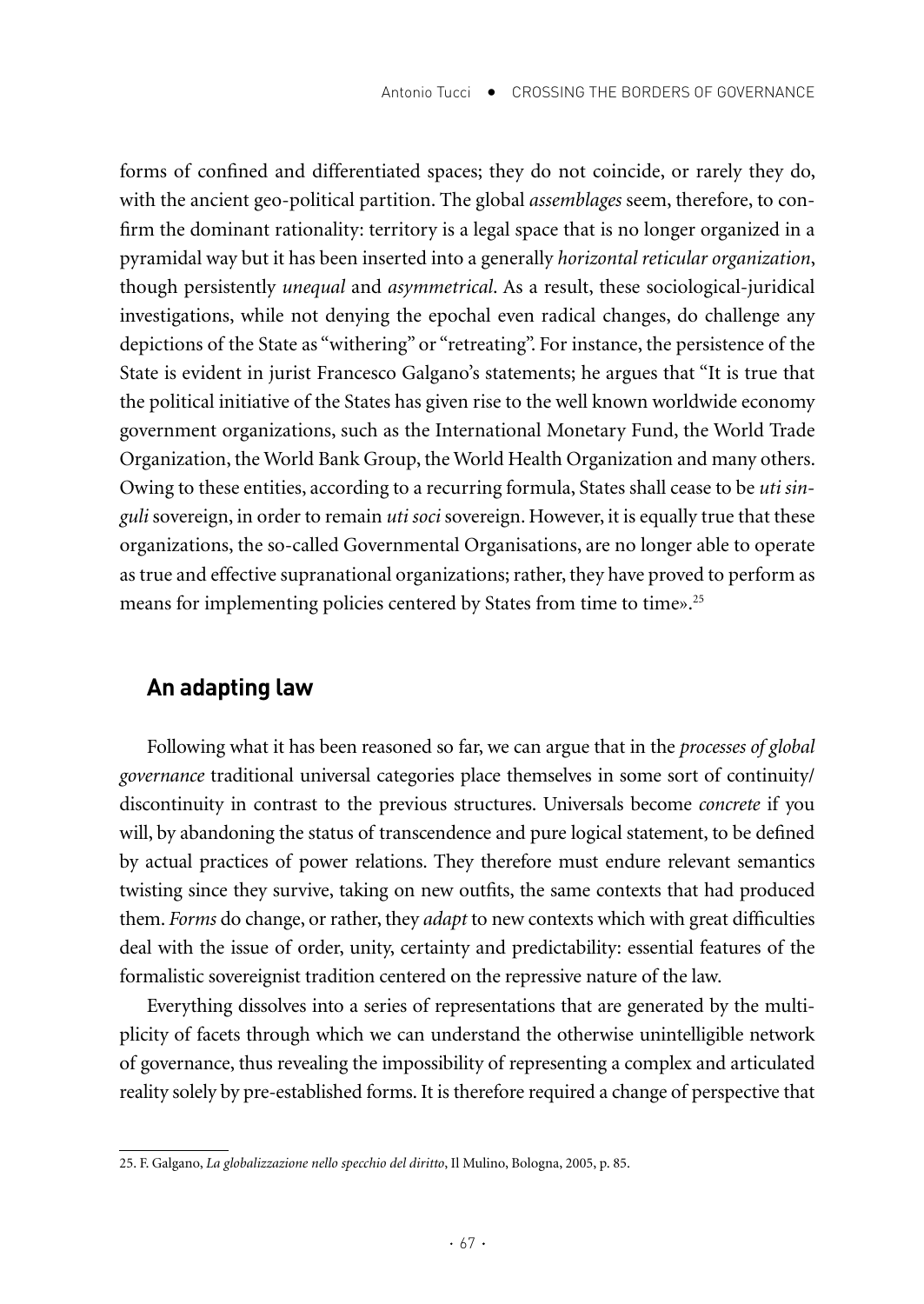forms of confined and differentiated spaces; they do not coincide, or rarely they do, with the ancient geo-political partition. The global *assemblages* seem, therefore, to confirm the dominant rationality: territory is a legal space that is no longer organized in a pyramidal way but it has been inserted into a generally *horizontal reticular organization*, though persistently *unequal* and *asymmetrical*. As a result, these sociological-juridical investigations, while not denying the epochal even radical changes, do challenge any depictions of the State as "withering" or "retreating". For instance, the persistence of the State is evident in jurist Francesco Galgano's statements; he argues that "It is true that the political initiative of the States has given rise to the well known worldwide economy government organizations, such as the International Monetary Fund, the World Trade Organization, the World Bank Group, the World Health Organization and many others. Owing to these entities, according to a recurring formula, States shall cease to be *uti singuli* sovereign, in order to remain *uti soci* sovereign. However, it is equally true that these organizations, the so-called Governmental Organisations, are no longer able to operate as true and effective supranational organizations; rather, they have proved to perform as means for implementing policies centered by States from time to time».<sup>25</sup>

### **An adapting law**

Following what it has been reasoned so far, we can argue that in the *processes of global governance* traditional universal categories place themselves in some sort of continuity/ discontinuity in contrast to the previous structures. Universals become *concrete* if you will, by abandoning the status of transcendence and pure logical statement, to be defined by actual practices of power relations. They therefore must endure relevant semantics twisting since they survive, taking on new outfits, the same contexts that had produced them. *Forms* do change, or rather, they *adapt* to new contexts which with great difficulties deal with the issue of order, unity, certainty and predictability: essential features of the formalistic sovereignist tradition centered on the repressive nature of the law.

Everything dissolves into a series of representations that are generated by the multiplicity of facets through which we can understand the otherwise unintelligible network of governance, thus revealing the impossibility of representing a complex and articulated reality solely by pre-established forms. It is therefore required a change of perspective that

<sup>25.</sup> F. Galgano, *La globalizzazione nello specchio del diritto*, Il Mulino, Bologna, 2005, p. 85.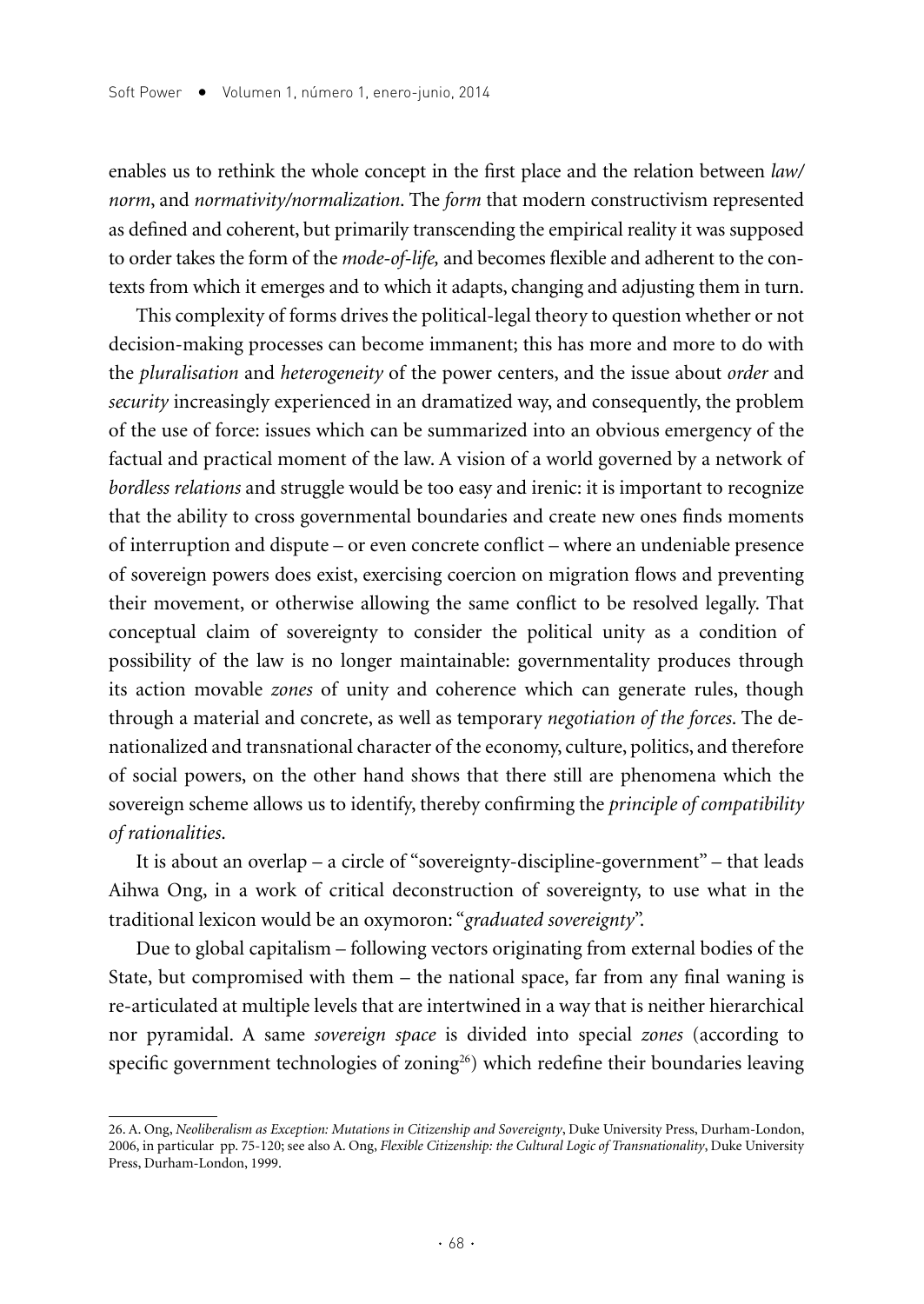enables us to rethink the whole concept in the first place and the relation between *law/ norm*, and *normativity/normalization*. The *form* that modern constructivism represented as defined and coherent, but primarily transcending the empirical reality it was supposed to order takes the form of the *mode-of-life,* and becomes flexible and adherent to the contexts from which it emerges and to which it adapts, changing and adjusting them in turn.

This complexity of forms drives the political-legal theory to question whether or not decision-making processes can become immanent; this has more and more to do with the *pluralisation* and *heterogeneity* of the power centers, and the issue about *order* and *security* increasingly experienced in an dramatized way, and consequently, the problem of the use of force: issues which can be summarized into an obvious emergency of the factual and practical moment of the law. A vision of a world governed by a network of *bordless relations* and struggle would be too easy and irenic: it is important to recognize that the ability to cross governmental boundaries and create new ones finds moments of interruption and dispute – or even concrete conflict – where an undeniable presence of sovereign powers does exist, exercising coercion on migration flows and preventing their movement, or otherwise allowing the same conflict to be resolved legally. That conceptual claim of sovereignty to consider the political unity as a condition of possibility of the law is no longer maintainable: governmentality produces through its action movable *zones* of unity and coherence which can generate rules, though through a material and concrete, as well as temporary *negotiation of the forces*. The denationalized and transnational character of the economy, culture, politics, and therefore of social powers, on the other hand shows that there still are phenomena which the sovereign scheme allows us to identify, thereby confirming the *principle of compatibility of rationalities*.

It is about an overlap – a circle of "sovereignty-discipline-government" – that leads Aihwa Ong, in a work of critical deconstruction of sovereignty, to use what in the traditional lexicon would be an oxymoron: "*graduated sovereignty*".

Due to global capitalism – following vectors originating from external bodies of the State, but compromised with them – the national space, far from any final waning is re-articulated at multiple levels that are intertwined in a way that is neither hierarchical nor pyramidal. A same *sovereign space* is divided into special *zones* (according to specific government technologies of zoning $26$ ) which redefine their boundaries leaving

<sup>26.</sup> A. Ong, *Neoliberalism as Exception: Mutations in Citizenship and Sovereignty*, Duke University Press, Durham-London, 2006, in particular pp. 75-120; see also A. Ong, *Flexible Citizenship: the Cultural Logic of Transnationality*, Duke University Press, Durham-London, 1999.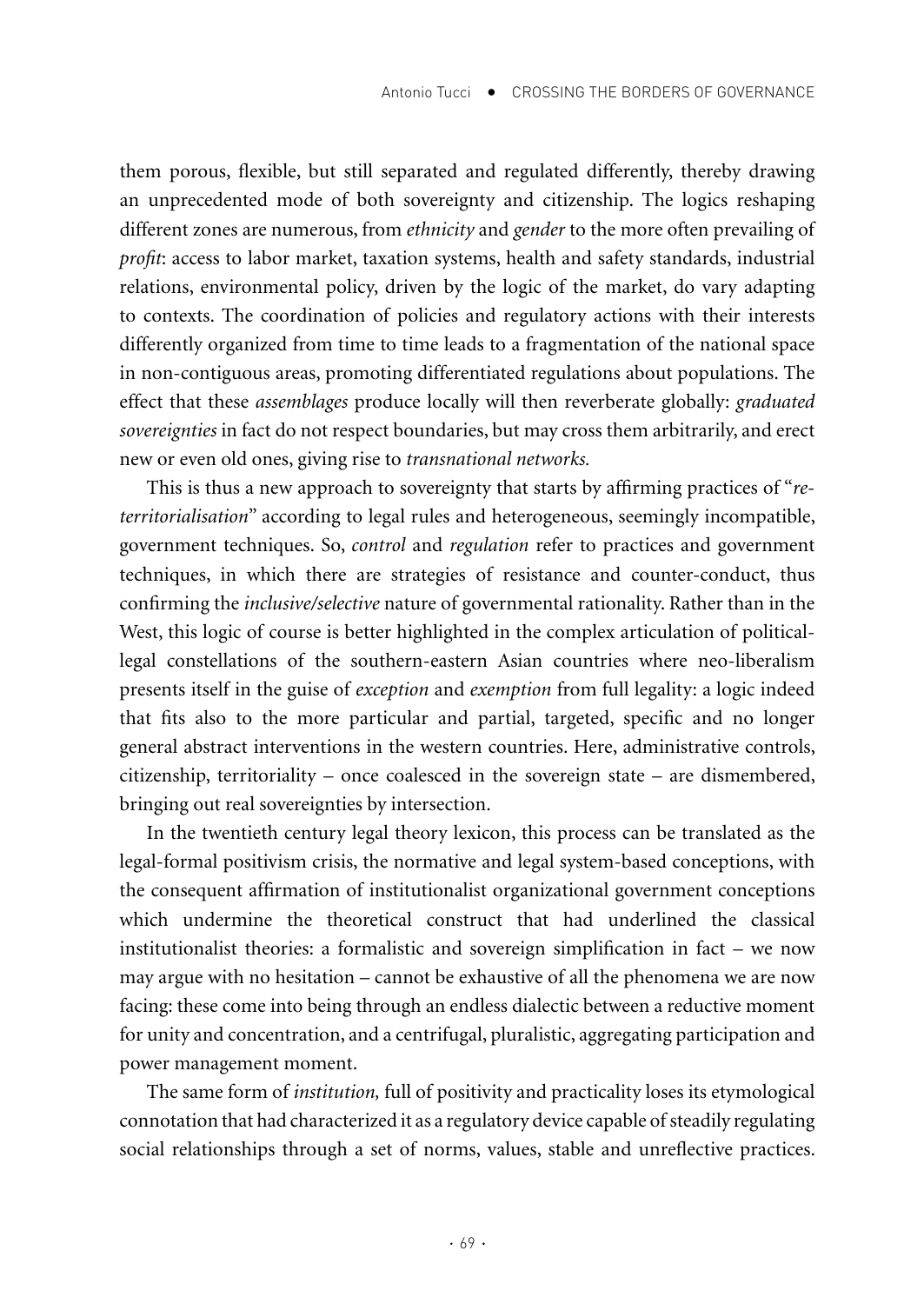them porous, flexible, but still separated and regulated differently, thereby drawing an unprecedented mode of both sovereignty and citizenship. The logics reshaping different zones are numerous, from *ethnicity* and *gender* to the more often prevailing of *profit*: access to labor market, taxation systems, health and safety standards, industrial relations, environmental policy, driven by the logic of the market, do vary adapting to contexts. The coordination of policies and regulatory actions with their interests differently organized from time to time leads to a fragmentation of the national space in non-contiguous areas, promoting differentiated regulations about populations. The effect that these *assemblages* produce locally will then reverberate globally: *graduated sovereignties* in fact do not respect boundaries, but may cross them arbitrarily, and erect new or even old ones, giving rise to *transnational networks.*

This is thus a new approach to sovereignty that starts by affirming practices of "*reterritorialisation*" according to legal rules and heterogeneous, seemingly incompatible, government techniques. So, *control* and *regulation* refer to practices and government techniques, in which there are strategies of resistance and counter-conduct, thus confirming the *inclusive/selective* nature of governmental rationality. Rather than in the West, this logic of course is better highlighted in the complex articulation of politicallegal constellations of the southern-eastern Asian countries where neo-liberalism presents itself in the guise of *exception* and *exemption* from full legality: a logic indeed that fits also to the more particular and partial, targeted, specific and no longer general abstract interventions in the western countries. Here, administrative controls, citizenship, territoriality – once coalesced in the sovereign state – are dismembered, bringing out real sovereignties by intersection.

In the twentieth century legal theory lexicon, this process can be translated as the legal-formal positivism crisis, the normative and legal system-based conceptions, with the consequent affirmation of institutionalist organizational government conceptions which undermine the theoretical construct that had underlined the classical institutionalist theories: a formalistic and sovereign simplification in fact – we now may argue with no hesitation – cannot be exhaustive of all the phenomena we are now facing: these come into being through an endless dialectic between a reductive moment for unity and concentration, and a centrifugal, pluralistic, aggregating participation and power management moment.

The same form of *institution,* full of positivity and practicality loses its etymological connotation that had characterized it as a regulatory device capable of steadily regulating social relationships through a set of norms, values, stable and unreflective practices.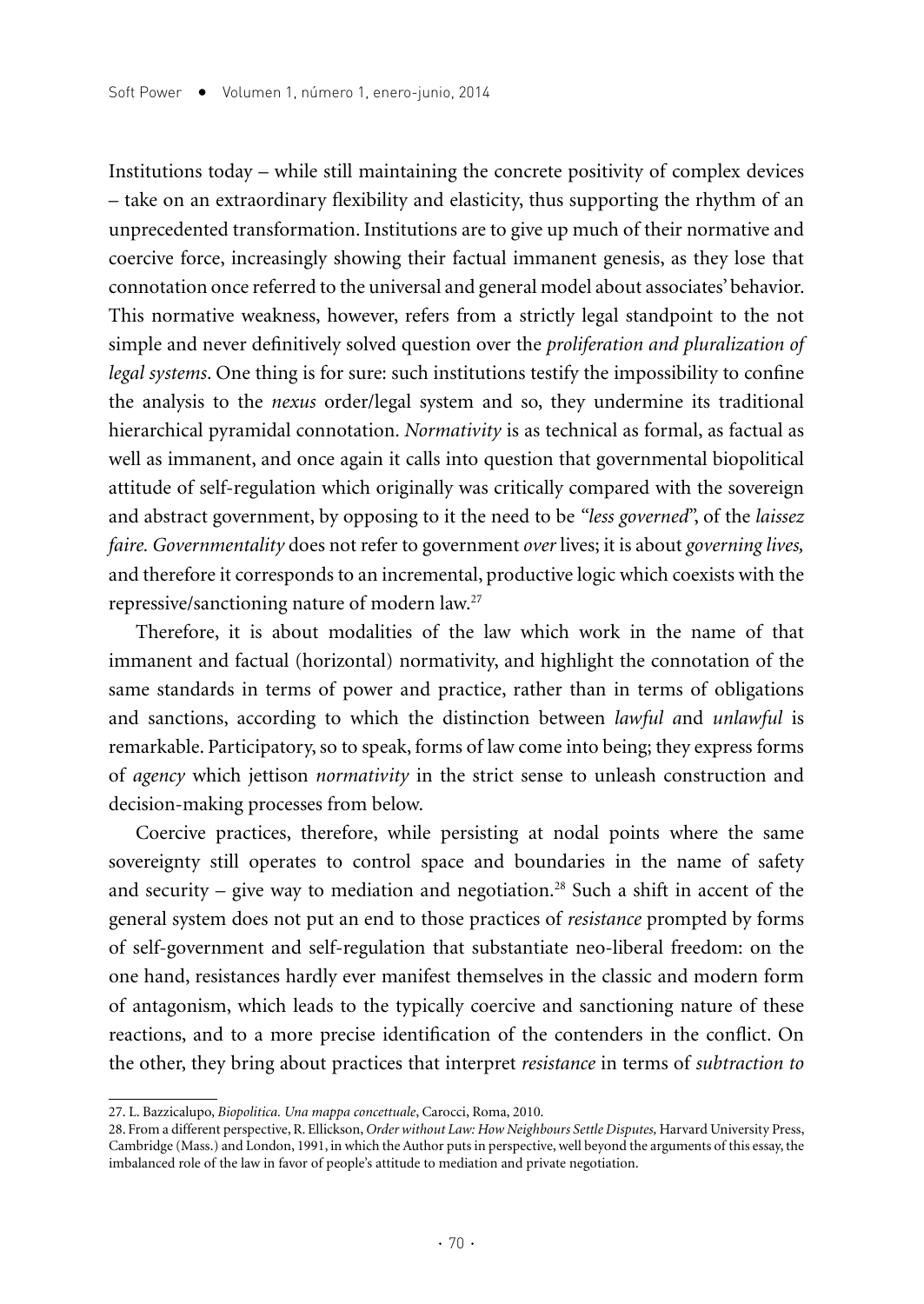Institutions today – while still maintaining the concrete positivity of complex devices – take on an extraordinary flexibility and elasticity, thus supporting the rhythm of an unprecedented transformation. Institutions are to give up much of their normative and coercive force, increasingly showing their factual immanent genesis, as they lose that connotation once referred to the universal and general model about associates' behavior. This normative weakness, however, refers from a strictly legal standpoint to the not simple and never definitively solved question over the *proliferation and pluralization of legal systems*. One thing is for sure: such institutions testify the impossibility to confine the analysis to the *nexus* order/legal system and so, they undermine its traditional hierarchical pyramidal connotation. *Normativity* is as technical as formal, as factual as well as immanent, and once again it calls into question that governmental biopolitical attitude of self-regulation which originally was critically compared with the sovereign and abstract government, by opposing to it the need to be *"less governed*", of the *laissez faire. Governmentality* does not refer to government *over* lives; it is about *governing lives,* and therefore it corresponds to an incremental, productive logic which coexists with the repressive/sanctioning nature of modern law.27

Therefore, it is about modalities of the law which work in the name of that immanent and factual (horizontal) normativity, and highlight the connotation of the same standards in terms of power and practice, rather than in terms of obligations and sanctions, according to which the distinction between *lawful a*nd *unlawful* is remarkable. Participatory, so to speak, forms of law come into being; they express forms of *agency* which jettison *normativity* in the strict sense to unleash construction and decision-making processes from below.

Coercive practices, therefore, while persisting at nodal points where the same sovereignty still operates to control space and boundaries in the name of safety and security – give way to mediation and negotiation.<sup>28</sup> Such a shift in accent of the general system does not put an end to those practices of *resistance* prompted by forms of self-government and self-regulation that substantiate neo-liberal freedom: on the one hand, resistances hardly ever manifest themselves in the classic and modern form of antagonism, which leads to the typically coercive and sanctioning nature of these reactions, and to a more precise identification of the contenders in the conflict. On the other, they bring about practices that interpret *resistance* in terms of *subtraction to* 

<sup>27.</sup> L. Bazzicalupo, *Biopolitica. Una mappa concettuale*, Carocci, Roma, 2010.

<sup>28.</sup> From a different perspective, R. Ellickson, *Order without Law: How Neighbours Settle Disputes,* Harvard University Press, Cambridge (Mass.) and London, 1991, in which the Author puts in perspective, well beyond the arguments of this essay, the imbalanced role of the law in favor of people's attitude to mediation and private negotiation.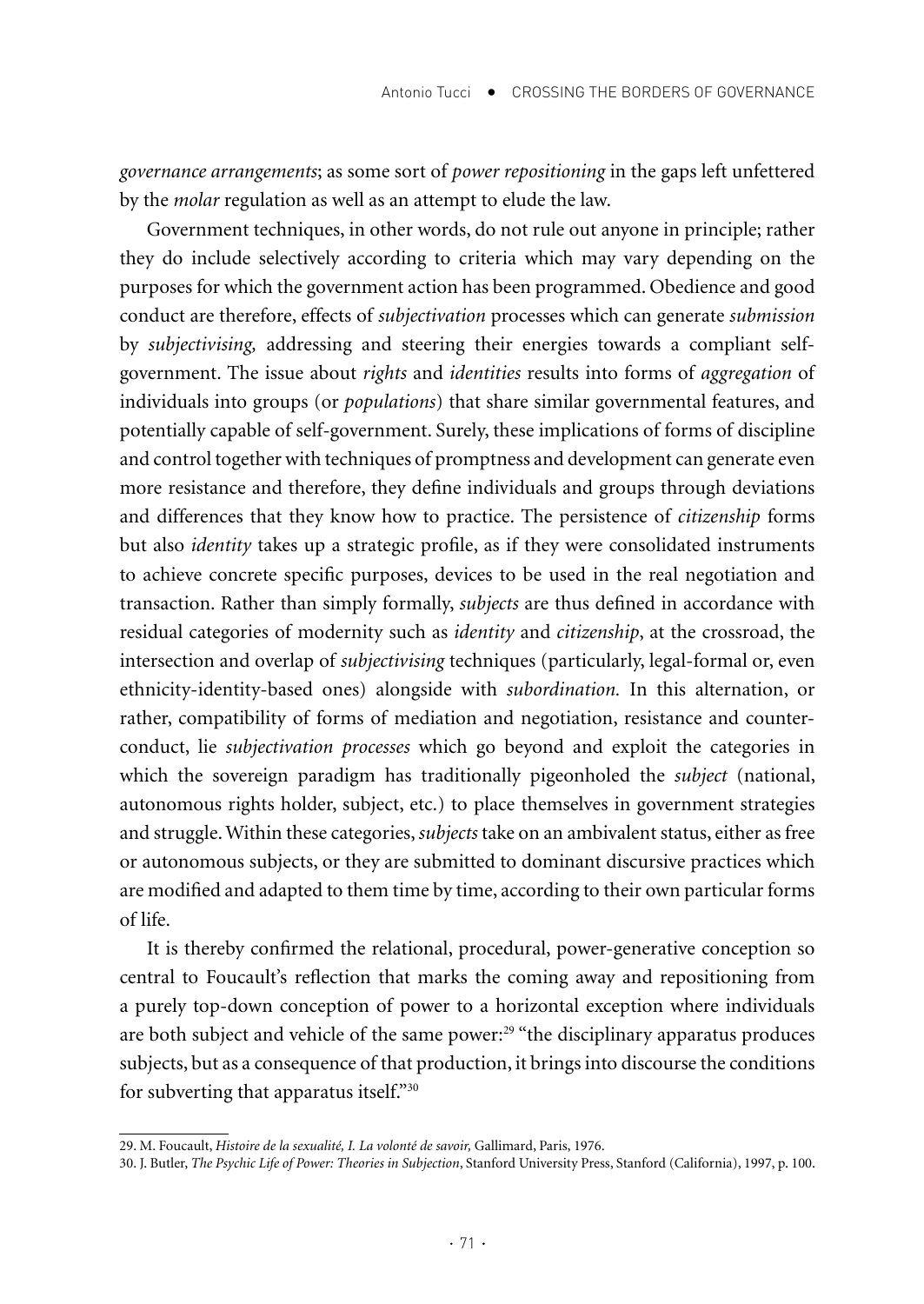*governance arrangements*; as some sort of *power repositioning* in the gaps left unfettered by the *molar* regulation as well as an attempt to elude the law.

Government techniques, in other words, do not rule out anyone in principle; rather they do include selectively according to criteria which may vary depending on the purposes for which the government action has been programmed. Obedience and good conduct are therefore, effects of *subjectivation* processes which can generate *submission* by *subjectivising,* addressing and steering their energies towards a compliant selfgovernment. The issue about *rights* and *identities* results into forms of *aggregation* of individuals into groups (or *populations*) that share similar governmental features, and potentially capable of self-government. Surely, these implications of forms of discipline and control together with techniques of promptness and development can generate even more resistance and therefore, they define individuals and groups through deviations and differences that they know how to practice. The persistence of *citizenship* forms but also *identity* takes up a strategic profile, as if they were consolidated instruments to achieve concrete specific purposes, devices to be used in the real negotiation and transaction. Rather than simply formally, *subjects* are thus defined in accordance with residual categories of modernity such as *identity* and *citizenship*, at the crossroad, the intersection and overlap of *subjectivising* techniques (particularly, legal-formal or, even ethnicity-identity-based ones) alongside with *subordination.* In this alternation, or rather, compatibility of forms of mediation and negotiation, resistance and counterconduct, lie *subjectivation processes* which go beyond and exploit the categories in which the sovereign paradigm has traditionally pigeonholed the *subject* (national, autonomous rights holder, subject, etc.) to place themselves in government strategies and struggle. Within these categories, *subjects* take on an ambivalent status, either as free or autonomous subjects, or they are submitted to dominant discursive practices which are modified and adapted to them time by time, according to their own particular forms of life.

It is thereby confirmed the relational, procedural, power-generative conception so central to Foucault's reflection that marks the coming away and repositioning from a purely top-down conception of power to a horizontal exception where individuals are both subject and vehicle of the same power:<sup>29</sup> "the disciplinary apparatus produces subjects, but as a consequence of that production, it brings into discourse the conditions for subverting that apparatus itself."30

<sup>29.</sup> M. Foucault, *Histoire de la sexualité, I. La volonté de savoir,* Gallimard, Paris, 1976.

<sup>30.</sup> J. Butler, *The Psychic Life of Power: Theories in Subjection*, Stanford University Press, Stanford (California), 1997, p. 100.